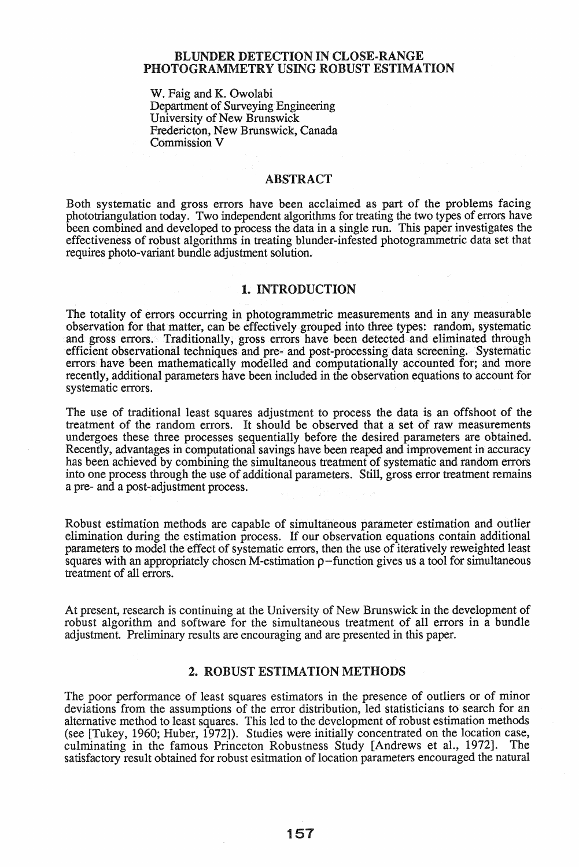#### BLUNDER DETECTION IN CLOSE·RANGE PHOTOGRAMMETRY USING ROBUST ESTIMATION

w. Faig and K. Owolabi Department of Surveying Engineering University of New Brunswick Fredericton, New Brunswick, Canada Commission V

#### ABSTRACT

Both systematic and gross errors have been acclaimed as part of the problems facing phototriangulation today. Two independent algorithms for treating the two types of errors have been combined and developed to process the data in a single run. This paper investigates the effectiveness of robust algorithms in treating blunder-infested photogrammetric data set that requires photo-variant bundle adjustment solution.

#### 1. INTRODUCTION

The totality of errors occurring in photogrammetric measurements and in any measurable observation for that matter, can be effectively grouped into three types: random, systematic and gross errors. Traditionally, gross errors have been detected and eliminated through efficient observational techniques and pre- and post-processing data screening. Systematic errors have been mathematically modelled and computationally accounted for; and more recently, additional parameters have been included in the observation equations to account for systematic errors.

The use of traditional least squares adjustment to process the data is an offshoot of the treatment of the random errors. It should be observed that a set of raw measurements undergoes these three processes sequentially before the desired parameters are obtained. Recently, advantages in computational savings have been reaped and improvement in accuracy has been achieved by combining the simultaneous treatment of systematic and random errors into one process through the use of additional parameters. Still, gross error treatment remains a pre- and a post-adjustment process.

Robust estimation methods are capable of simultaneous parameter estimation and outlier elimination during the estimation process. If our observation equations contain additional parameters to model the effect of systematic errors, then the use of iteratively reweighted least squares with an appropriately chosen M-estimation  $\rho$ -function gives us a tool for simultaneous treatment of all errors.

At present, research is continuing at the University of New Brunswick in the development of robust algorithm and software for the simultaneous treatment of all errors in a bundle adjustment. Preliminary results are encouraging and are presented in this paper.

#### 2. ROBUST ESTIMATION METHODS

The poor performance of least squares estimators in the presence of outliers or of minor deviations from the assumptions of the error distribution, led statisticians to search for an alternative method to least squares. This led to the development of robust estimation methods (see [Tukey, 1960; Huber, 1972]). Studies were initially concentrated on the location case, culminating in the famous Princeton Robustness Study [Andrews et aI., 1972]. The satisfactory result obtained for robust esitmation of location parameters encouraged the natural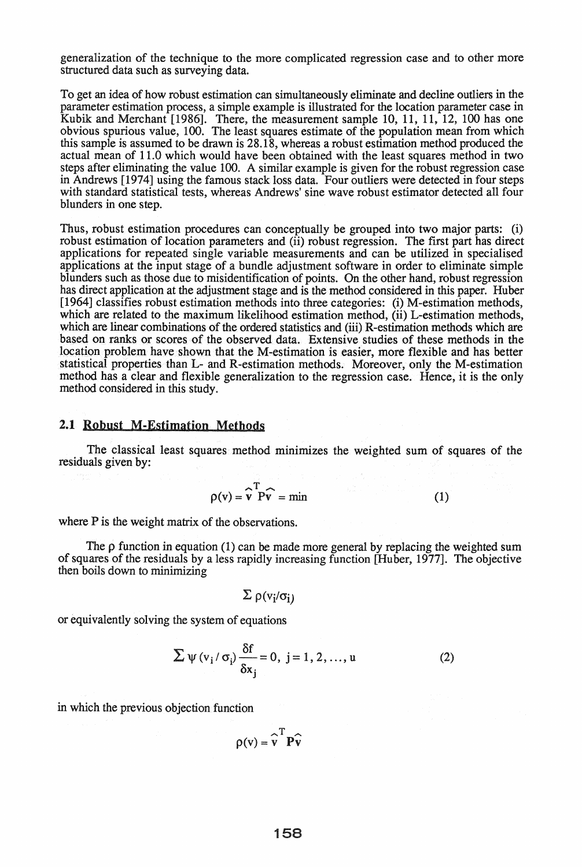generalization of the technique to the more complicated regression case and to other more structured data such as surveying data.

To get an idea of how robust estimation can simultaneously eliminate and decline outliers in the parameter estimation process, a simple example is illustrated for the location parameter case in Kubik and Merchant [1986]. There, the measurement sample 10, 11, 11, 12, 100 has one obvious spurious value, 100. The least squares estimate of the population mean from which this sample is assumed to be drawn is 28.18, whereas a robust estimation method produced the actual mean of 11.0 which would have been obtained with the least squares method in two steps after eliminating the value 100. A similar example is given for the robust regression case in Andrews [1974] using the famous stack loss data. Four outliers were detected in four steps with standard statistical tests, whereas Andrews' sine wave robust estimator detected all four blunders in one step.

Thus, robust estimation procedures can conceptually be grouped into two major parts: (i) robust estimation of location parameters and (ii) robust regression. The first part has direct applications for repeated single variable measurements and can be utilized in specialised applications at the input stage of a bundle adjustment software in order to eliminate simple blunders such as those due to misidentification of points. On the other hand, robust regression has direct application at the adjustment stage and is the method considered in this paper. Huber [1964] classifies robust estimation methods into three categories: (i) M-estimation methods, which are related to the maximum likelihood estimation method, (ii) L-estimation methods, which are linear combinations of the ordered statistics and (iii) R-estimation methods which are based on ranks or scores of the observed data. Extensive studies of these methods in the location problem have shown that the M-estimation is easier, more flexible and has better statistical properties than L- and R-estimation methods. Moreover, only the M-estimation method has a clear and flexible generalization to the regression case. Hence, it is the only method considered in this study.

#### 2.1 Robust M-Estimation Methods

The classical least squares method minimizes the weighted sum of squares of the residuals given by:

$$
\rho(v) = \widehat{v}^T P \widehat{v} = \min \tag{1}
$$

where P is the weight matrix of the observations.

The  $\rho$  function in equation (1) can be made more general by replacing the weighted sum of squares of the residuals by a less rapidly increasing function [Huber, 1977]. The objective then boils down to minimizing

$$
\Sigma \rho(v_i/\sigma_i)
$$

or equivalently solving the system of equations

$$
\sum \psi(v_i/\sigma_i) \frac{\delta f}{\delta x_j} = 0, \ j = 1, 2, ..., u
$$
 (2)

in which the previous objection function

$$
\rho(v) = \widehat{v}^T P \widehat{v}
$$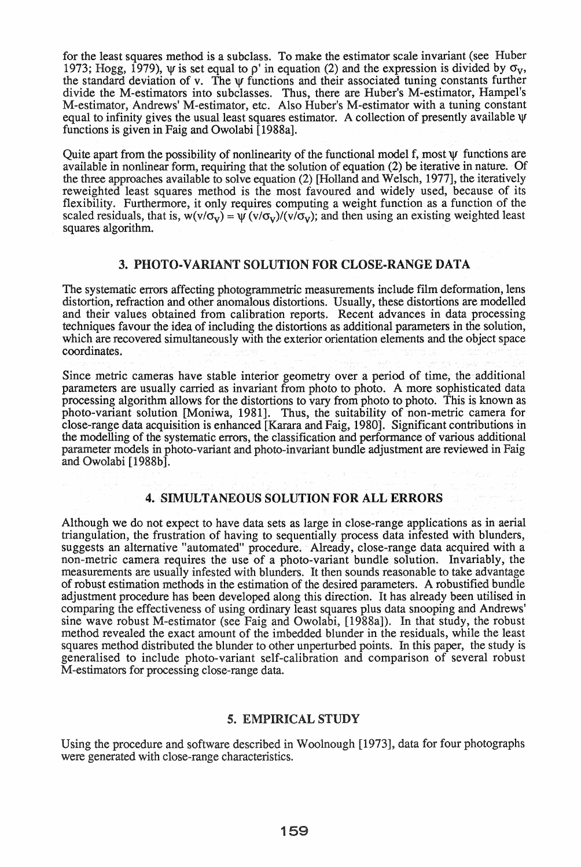for the least squares method is a subclass. To make the estimator scale invariant (see Huber 1973; Hogg, 1979),  $\psi$  is set equal to  $\rho'$  in equation (2) and the expression is divided by  $\sigma_v$ , the standard deviation of v. The  $\psi$  functions and their associated tuning constants further divide the M-estimators into subclasses. Thus, there are Huber's M-estimator, Hampel's M-estimator, Andrews' M-estimator, etc. Also Huber's M-estimator with a tuning constant equal to infinity gives the usual least squares estimator. A collection of presently available  $\Psi$ functions is given in Faig and Owolabi [1988a].

Quite apart from the possibility of nonlinearity of the functional model f, most  $\psi$  functions are available in nonlinear form, requiring that the solution of equation (2) be iterative in nature. Of the three approaches available to solve equation (2) [Holland and Welsch, 1977], the iteratively reweighted least squares method is the most favoured and widely used, because of its flexibility. Furthermore, it only requires computing a weight function as a function of the scaled residuals, that is,  $w(v/\sigma_v) = \psi(v/\sigma_v)/(v/\sigma_v)$ ; and then using an existing weighted least squares algorithm.

#### 3. PHOTO-VARIANT SOLUTION FOR CLOSE-RANGE DATA

The systematic errors affecting photogrammetric measurements include film deformation, lens distortion, refraction and other anomalous distortions. Usually, these distortions are modelled and their values obtained from calibration reports. Recent advances in data processing techniques favour the idea of including the distortions as additional parameters in the solution, which are recovered simultaneously with the exterior orientation elements and the object space coordinates.

Since metric cameras have stable interior geometry over a period of time, the additional parameters are usually carried as invariant from photo to photo. A more sophisticated data processing algorithm allows for the distortions to vary from photo to photo. This is known as photo-variant solution [Moniwa, 1981]. Thus, the suitability of non-metric camera for close-range data acquisition is enhanced [Karara and Faig, 1980]. Significant contributions in the modelling of the systematic errors, the classification and performance of various additional parameter models in photo-variant and photo-invariant bundle adjustment are reviewed in Faig and Owolabi [1988b].

#### 4. SIMULTANEOUS SOLUTION FOR ALL ERRORS

Although we do not expect to have data sets as large in close-range applications as in aerial triangulation, the frustration of having to sequentially process data infested with blunders, suggests an alternative "automated" procedure. Already, close-range data acquired with a non-metric camera requires the use of a photo-variant bundle solution. Invariably, the measurements are usually infested with blunders. It then sounds reasonable to take advantage of robust estimation methods in the estimation of the desired parameters. A robustified bundle adjustment procedure has been developed along this direction. It has already been utilised in comparing the effectiveness of using ordinary least squares plus data snooping and Andrews' sine wave robust M-estimator (see Faig and Owolabi, [1988a]). In that study, the robust method revealed the exact amount of the imbedded blunder in the residuals, while the least squares method distributed the blunder to other unperturbed points. In this paper, the study is generalised to include photo-variant self-calibration and comparison of several robust M-estimators for processing close-range data.

#### 5. EMPIRICAL STUDY

Using the procedure and software described in Woolnough [1973], data for four photographs were generated with close-range characteristics.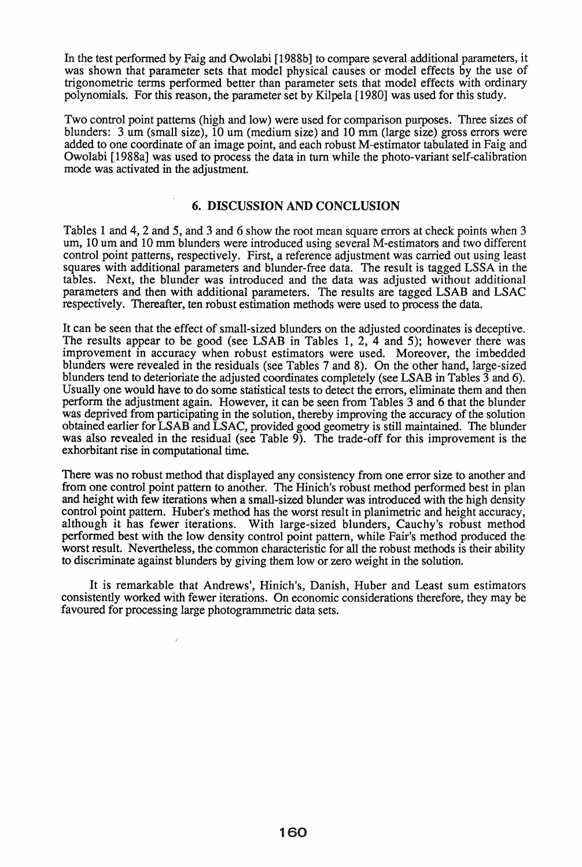In the test performed by Faig and Owolabi [1988b] to compare several additional parameters, it was shown that parameter sets that model physical causes or model effects by the use of trigonometric terms performed better than parameter sets that model effects with ordinary polynomials. For this reason, the parameter set by Kilpela [1980] was used for this study\_

Two control point patterns (high and low) were used for comparison purposes. Three sizes of blunders: 3 um (small size),  $10 \text{ um}$  (medium size) and  $10 \text{ mm}$  (large size) gross errors were added to one coordinate of an image point, and each robust M-estimator tabulated in Faig and Owolabi [1988a] was used to process the data in tum while the photo-variant self-calibration mode was activated in the adjustment.

#### 6. DISCUSSION AND CONCLUSION

Tables 1 and 4,2 and 5, and 3 and 6 show the root mean square errors at check points when 3 um, 10 um and 10 mm blunders were introduced using several M-estimators and two different control point patterns, respectively. First, a reference adjustment was carried out using least squares with additional parameters and blunder-free data. The result is tagged LSSA in the tables. Next, the blunder was introduced and the data was adjusted without additional parameters and then with additional parameters. The results are tagged LSAB and LSAC respectively. Thereafter, ten robust estimation methods were used to process the data.

It can be seen that the effect of small-sized blunders on the adjusted coordinates is deceptive. The results appear to be good (see LSAB in Tables 1, 2, 4 and 5); however there was improvement in accuracy when robust estimators were used. Moreover, the imbedded blunders were revealed in the residuals (see Tables 7 and 8). On the other hand, large-sized blunders tend to deterioriate the adjusted coordinates completely (see LSAB in Tables 3 and 6). Usually one would have to do some statistical tests to detect the errors, eliminate them and then perform the adjustment again. However, it can be seen from Tables 3 and 6 that the blunder was deprived from participating in the solution, thereby improving the accuracy of the solution obtained earlier for LSAB and LSAC, provided good geometry is still maintained. The blunder was also revealed in the residual (see Table 9). The trade-off for this improvement is the exhorbitant rise in computational time.

There was no robust method that displayed any consistency from one error size to another and from one control point pattern to another. The Hinich's robust method performed best in plan and height with few iterations when a small-sized blunder was introduced with the high density control point pattern. Huber's method has the worst result in planimetric and height accuracy, although it has fewer iterations. With large-sized blunders, Cauchy's robust method performed best with the low density control point pattern, while Fair's method produced the worst result. Nevertheless, the common characteristic for all the robust methods is their ability to discriminate against blunders by giving them low or zero weight in the solution.

It is remarkable that Andrews', Hinich's, Danish, Huber and Least sum estimators consistently worked with fewer iterations. On economic considerations therefore, they may be favoured for processing large photogrammetric data sets.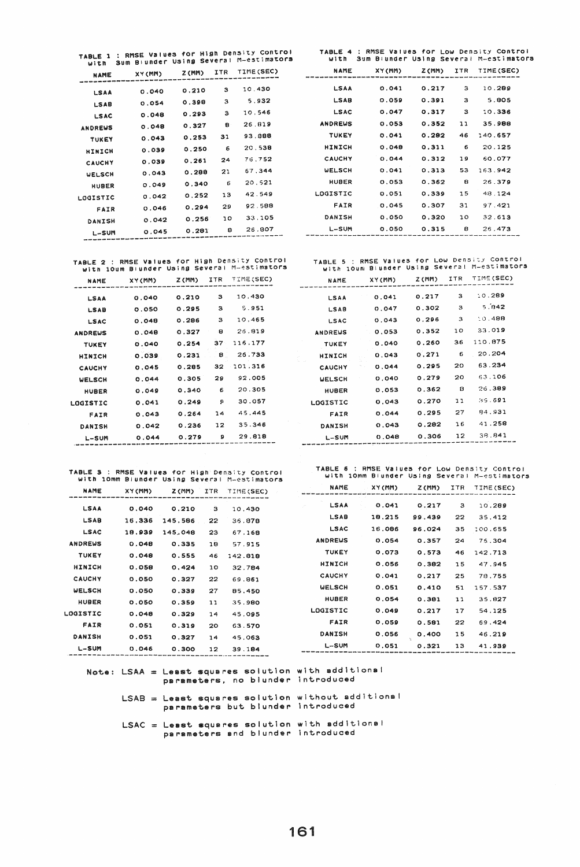TABLE 4 : RMSE Values fOr Low Density Control With 3um Blunaer USing Several M-estimators

| NAME           | XY (MM) |       |    | Z(MM) ITR TIME(SEC) |
|----------------|---------|-------|----|---------------------|
|                |         |       |    |                     |
| LSAA           | 0.041   | 0.217 | з  | 10.289              |
| <b>LSAB</b>    | 0.059   | 0.391 | з  | 5.805               |
| <b>LSAC</b>    | 0.047   | 0.317 | з  | 10.336              |
| <b>ANDREWS</b> | 0.053   | 0.352 | 11 | 35.988              |
| <b>TUKEY</b>   | 0.041   | 0.282 | 46 | 140.657             |
| HINICH         | 0.048   | 0.311 | 6  | 20.125              |
| CAUCHY         | 0.044   | 0.312 | 19 | 60.077              |
| <b>WELSCH</b>  | 0.041   | 0.313 | 53 | 163.942             |
| HUBER          | 0.053   | 0.362 | 8  | 26.379              |
| LOGISTIC       | 0.051   | 0.339 | 15 | 48.124              |
| FAIR           | 0.045   | 0.307 | 31 | 97.421              |
| DANISH         | 0.050   | 0.320 | 10 | 32.613              |
| L-SUM          | 0.050   | 0.315 | 8  | 26.473              |
|                |         |       |    |                     |

TABLE 5 : RMSE Values for Low Density Control<br>with 10um Blunder Using Several M-estimators

| NAME           | XY(MM) | Z (MM) | ITR | TIME(SEC) |
|----------------|--------|--------|-----|-----------|
| LSAA           | 0.041  | 0.217  | 3   | 10.289    |
| <b>LSAB</b>    | 0.047  | 0,302  | 3   | 5.042     |
| LSAC           | 0.043  | 0.296  | з   | 10.488    |
| <b>ANDREWS</b> | 0.053  | 0.352  | 10  | 33.019    |
| TUKEY          | 0.040  | 0.260  | 36  | 110.875   |
| <b>HINICH</b>  | 0.043  | 0.271  | 6   | 20.204    |
| CAUCHY         | 0.044  | 0.295  | 20  | 63.234    |
| <b>UELSCH</b>  | 0.040  | 0.279  | 20  | 63.106    |
| HUBER          | 0.053  | 0.362  | 8   | 26.389    |
| LOGISTIC       | 0.043  | 0.270  | 11  | 35.691    |
| FAIR           | 0.044  | 0.295  | 27  | 84.931    |
| DANISH         | 0.043  | 0.282  | 16  | 41.258    |
| L-SUM          | 0.048  | 0.306  | 12  | 38.841    |
|                |        |        |     |           |

TABLE 2 : RMSE values for HI9h Density Control with 10um Blunder USing Several M-~stimators NAME X'f(MM) Z(MM) ITR TIME,SEC)

L-SUM 0.045 0.281 6 26.807 -------------------------------------------

TABLE 1 : RMSE Values for High Density Control<br>with Sum Blunder Using Several M-estimators

0.210 0.398 0.298 0.327 0.258 0.250 0.261 0.298 0.340 0.252 0.294 0.256

10.430 5.932 10.546 26.019  $93.88$ 20.539 715.752 67.344 20.521 42.549 92.568 3:.~.105

NAME XV(MM) Z(MM) ITR TIME(SEC) **-------------------------------------------**

0.040 0.054 0.049 0.049 0.048 0.089 0.039 0.043 0.049 0.042 0.046 0.042

LSAA LSA9 LSAC ANDREWS TUKEY HINICH **CAUCHY** WELSCH HUBER LOOISTIC FAIR DANISH

| RAME           | ^`\'``` | .     | .               |         |
|----------------|---------|-------|-----------------|---------|
| LSAA           | 0.040   | 0.210 | з               | 10.430  |
| <b>LSAB</b>    | 0.050   | 0.295 | з               | 5.951   |
| LSAC           | 0.048   | 0.286 | з               | 10.465  |
| <b>ANDREWS</b> | 0.048   | 0.327 | 8               | 25.819  |
| <b>TUKEY</b>   | 0.040   | 0.254 | 37 <sub>1</sub> | 116.177 |
| <b>HINICH</b>  | 0.039   | 0.231 | 8               | 26.733  |
| CAUCHY         | 0.045   | 0.285 | 32              | 101.316 |
| <b>WELSCH</b>  | 0.044   | 0.305 | 29              | 92.005  |
| <b>HUBER</b>   | 0.049   | 0.340 | 6               | 20.305  |
| LOGISTIC       | 0.041   | 0.249 | Ω               | 30.057  |
| FAIR           | 0.043   | 0.264 | 14              | 45.445  |
| DANISH         | 0.042   | 0.236 | 12              | 35.346  |
| L-SUM          | 0.044   | 0.279 | э               | 29.818  |
|                |         |       |                 |         |

TABLE 3 : RMSE Values for High Density Control<br>with 10mm Blunder Using Several M-estimators

NAME X'f(MM) Z(MM) ITR TIME(SEC) ------------------------------------------- LSAA

L-SUM 0.046 0.300 12 39.184 -------------------------------------------

0.040 0.210 16.336 145.566 18.939 145.048 0.048 0.335 0.048 0.555 0.059 0.424 0.050 0.327 0.050 0.339 0.050 0.359 0.049 0.329 0.051 0.319 0.051 0.327

LSAB LSAC ANDREWS **TUKEY** HINICH CAUCHY WELSCH HUBER LOGISTIC FAIR DANISH

| TABLE 6 : RMSE Values for Low Density Control |                 |              |                                              |
|-----------------------------------------------|-----------------|--------------|----------------------------------------------|
|                                               |                 |              | with 10mm Biunder Using Several M-estimators |
| NAME                                          | <b>VV / MMN</b> | <b>Trans</b> | <b>TTD</b> TTME <i>LOCAL</i>                 |

| NAME           | XY(MM) | Z (MM) | ITR 1 | TIME(SEC) |
|----------------|--------|--------|-------|-----------|
| LSAA           | 0.041  | 0.217  | з     | 10.289    |
| <b>LSAB</b>    | 18.215 | 99.439 | 22    | 35.412    |
| <b>LSAC</b>    | 16.086 | 96.024 | 35    | 100.655   |
| <b>ANDREWS</b> | 0.054  | 0.357  | 24    | 75.304    |
| <b>TUKEY</b>   | 0.073  | 0.573  | 46    | 142.713   |
| HINICH         | 0.056  | 0.382  | 15    | 47.945    |
| <b>CAUCHY</b>  | 0.041  | 0.217  | 25    | 78.755    |
| <b>WELSCH</b>  | 0.051  | 0.410  | 51    | 157.537   |
| HUBER          | 0.054  | 0.381  | 11    | 35.827    |
| LOGISTIC       | 0.049  | 0.217  | 17    | 54.125    |
| FAIR           | 0.059  | 0.581  | 22    | 69.424    |
| DANISH         | 0.056  | 0.400  | 15    | 46.219    |
| L-SUM          | 0.051  | 0.321  | 13    | 41.939    |
|                |        |        |       |           |

|  | Note: LSAA = Least squares solution with additional |  |  |
|--|-----------------------------------------------------|--|--|
|  | parameters, no blunder introduced                   |  |  |

3 10.430  $22$  36.878 23 67.168 18 57.915 46 142.818 10 32.794 22 69.861 27 85.450 11 35.980 14 45.095 20 63.570 14 45.063

 $LSAB =$  Least squares solution without additional parameters but blunder introduced

LSAC = Least squares solution with additional parameters and blunder introduced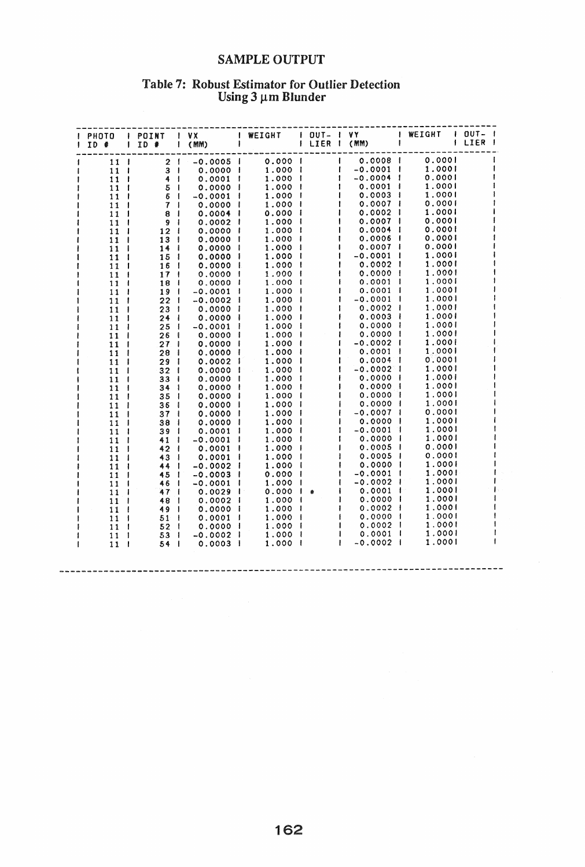## **SAMPLE OUTPUT**

## Table 7: Robust Estimator for Outlier Detection<br>Using  $3 \mu m$  Blunder

| PHOTO<br>$ID$ #    | I POINT<br>$1$ ID $\#$     | $\mathsf{I}$ VX<br>$I$ (MM) | I WEIGHT | OUT-   VY<br>I LIER I (MM) |                  | I WEIGHT               | $1$ OUT- $1$<br>LIER |
|--------------------|----------------------------|-----------------------------|----------|----------------------------|------------------|------------------------|----------------------|
| 11                 | 2 <sub>1</sub>             | $-0.0005$                   | 0.0001   |                            | $0.0008$         | 0.0001                 |                      |
| 11<br>- 1          | 3 <sup>1</sup>             | 0.0000 1                    | 1.0001   |                            | $-0.0001$ $\mid$ | 1.0001                 |                      |
| 11 <sub>1</sub>    | 4<br>-1                    | 0.0001                      | 1.000 1  |                            | -0.0004          | 0.0001<br>1            |                      |
| 11 <sub>1</sub>    | 5<br>÷                     | 0.0000<br>$\mathbf{I}$      | 1.000    |                            | 0.0001           | 1.0001                 |                      |
| 11 <sub>1</sub>    | 6                          | $-0.0001$                   | 1.000    |                            | 0.0003           | 1.0001                 |                      |
| 11<br>- 1          | $\boldsymbol{\tau}$<br>- 1 | 0.0000<br>-1                | 1.000    |                            | 0.00071          | 0.0001                 |                      |
| 11 <sub>1</sub>    | 8<br>- 1                   | 0.0004                      | 0.000    |                            | 0.0002           | 1.0001                 |                      |
| 11<br>- 1          | 9<br>- 1                   | 0.0002<br>-                 | 1.000    |                            | 0.0007           | 0.0001                 |                      |
| 11 <sub>1</sub>    | 12<br>- 1                  | 0.0000                      | 1.000    |                            | 0.0004           | 0.0001                 |                      |
| 11                 | 13<br>- 1                  | 0.0000                      | 1.000    |                            | $0.0006$ $\mid$  | 0.0001                 |                      |
| 11<br>- 1          | 14<br>- 1                  | 0.0000                      | 1.000    |                            | 0.0007           | 0.0001                 |                      |
| 11<br>- 1          | 15<br>ł                    | 0.0000<br>-1                | 1.000    |                            | $-0.0001$        | 1.0001                 |                      |
| 11 <sub>1</sub>    | 16<br>- 1                  | 0.0000<br>L                 | 1.000    |                            | 0.0002           | 1.0001                 |                      |
| 11<br>$\mathbf{I}$ | 17<br>- 1                  | 0.0000<br>- 1               | 1.000    |                            | 0.00001          | 1.0001                 |                      |
| 11 <sub>1</sub>    | 18<br>- 1                  | 0.0000<br>1                 | 1.000    |                            | 0.0001           | 1.0001                 |                      |
| 11<br>- 1          | 19<br>-1                   | $-0.0001$                   | 1.000    |                            | 0.0001           | 1.0001                 |                      |
| 11 <sub>1</sub>    | 22<br>- 1                  | $-0.0002$<br>- 1            | 1.000    |                            | -0.0001          | 1.0001                 |                      |
| 11<br>- 1          | 23<br>- 1                  | 0.0000<br>- 1               | 1.000    |                            | $0.0002$ 1       | 1.0001                 |                      |
| 11 <sub>1</sub>    | 24<br>- 1                  | 0.0000<br>- 1               | 1.000    |                            | 0.0003           | 1.0001                 |                      |
| 11 <sub>1</sub>    | 25<br>- 1                  | $-0.0001$                   | 1.000    |                            | 0.00001          | 1.0001                 |                      |
| 11 <sub>1</sub>    | 26<br>ł                    | 0.0000                      | 1.000    |                            | 0.0000           | 1.0001                 |                      |
| 11                 | 27<br>- 1                  | 0.0000                      | 1.000    |                            | $-0.0002$ 1      | 1.0001                 |                      |
| 11                 | 28<br>- 1                  | 0.0000                      | 1.000    |                            | 0.0001           | 1.0001                 |                      |
| 11<br>- 1          | 29<br>-1                   | 0.0002                      | 1.000    |                            | $0.0004$ $1$     | 0.0001                 |                      |
| 11                 | 32<br>- 1                  | 0.0000                      | 1.000    |                            | -0.0002 1        | 1.0001                 |                      |
| 11                 | 33<br>-                    | 0.0000                      | 1.000    |                            | 0.00001          | 1.0001                 |                      |
| 11 <sup>1</sup>    | 34<br>- 1                  | 0.0000                      | 1.000    |                            | 0.0000           | 1.0001                 |                      |
| 11                 | 35<br>- 1                  | 0.0000                      | 1.000    |                            | 0.00001          | 1.0001                 |                      |
| 11                 | 36<br>- 1                  | 0.0000                      | 1.000    |                            | 0.0000           | 1.0001                 |                      |
| 11                 | 37                         | 0.0000                      | 1.000    |                            | $-0.0007$ 1      | 0.0001                 |                      |
| 11<br>- 1          | 38<br>- 1                  | 0.0000                      | 1.000    |                            | 0.0000           | 1.000                  |                      |
| 11                 | 39<br>- 1                  | 0.0001                      | 1.000    |                            | $-0.0001$        | 1.0001                 |                      |
| 11                 | 41<br>- 1                  | $-0.0001$                   | 1.000    |                            | 0.0000           | 1.0001                 |                      |
| 11                 | 42<br>- 1                  | 0.0001                      | 1.000    |                            | $0.0005$ $\mid$  | 0.0001                 |                      |
| 11                 | 43<br>- 1                  | 0.0001                      | 1.000    |                            | 0.0005           | 0.0001                 |                      |
| 11                 | 44                         | $-0.0002$                   | 1.000    |                            | 0.00001          | 1.0001                 |                      |
| 11                 | 45<br>-1                   | $-0.0003$                   | 0.000    |                            | $-0.0001$        | 1.0001                 |                      |
| 11                 | 46<br>- 1                  | $-0.0001$                   | 1.000    |                            | $-0.0002$        | 1.0001                 |                      |
| 11                 | 47<br>- 1                  | 0.0029                      | 0.000    | $\frac{1}{2}$              | 0.0001           | 1.0001                 |                      |
| 11                 | 48                         | 0.0002                      | 1.000    |                            | 0.0000           | 1.0001                 |                      |
| 11                 | 49<br>-1                   | 0.00001                     | 1.000 1  |                            | $0.0002$ 1       | 1.0001                 |                      |
| 11                 | 51<br>÷                    | 0.0001                      | 1.000    |                            | 0.00001          | 1.0001                 |                      |
| 11                 | 52<br>- 1                  | 0.0000                      | 1.000    |                            | 0.0002           | 1.0001<br>$\mathbf{I}$ |                      |
| 11<br>-1           | 53<br>- 1                  | $-0.0002$ 1                 | 1.000    |                            | $0.0001$ $1$     | 1.0001                 |                      |
| 11 <sub>1</sub>    | 54 I                       | $0.0003$ 1                  | 1.0001   |                            | -0.0002 1<br>1   | 1,0001                 |                      |
|                    |                            |                             |          |                            |                  |                        |                      |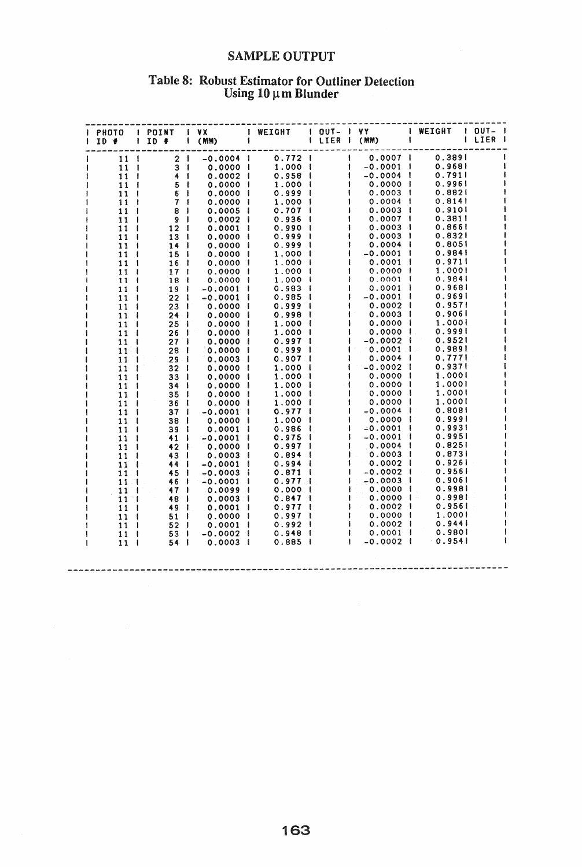### **SAMPLE OUTPUT**

## Table 8: Robust Estimator for Outliner Detection<br>Using  $10 \mu$ m Blunder

| ID #                           | I PHOTO I POINT I VX | $1 D$ # $1 (mm)$ $1$ | I WEIGHT   OUT- I VY     WEIGHT   OUT- I |                                            | I LIER I (MM) I                                            |                    | I LIER I |
|--------------------------------|----------------------|----------------------|------------------------------------------|--------------------------------------------|------------------------------------------------------------|--------------------|----------|
| 11                             | 2 <sup>1</sup>       |                      |                                          |                                            |                                                            | 0.3891             |          |
| 11 <sub>1</sub>                | 3 <sub>1</sub>       | 0.0000 1             | 1.000                                    |                                            | $\mathbf{1}$<br>$-0.0001$                                  | 0.9681             |          |
| $11-1$                         | 41                   | $0.0002$ 1           | $0.958$ $\mid$                           | $\begin{array}{c} 1 \\ 1 \\ 1 \end{array}$ | $-0.0004$ $\pm$                                            | 0.7911             |          |
| 11<br>- 1                      | 5 <sub>1</sub>       | 0.00001              | $1.000$ $\pm$                            |                                            | 10.00001                                                   | 0.9961             |          |
| 11<br>$\mathbf{I}$             | 6 <sub>1</sub>       | 0.00001              | $0.999$ $\mid$                           |                                            | 0.0003 1                                                   | 0.8821             |          |
| 11<br>- 1                      | 7 <sub>1</sub>       | 0.00001              | 1.0001                                   |                                            | $0.0004$ 1                                                 | 0.8141             |          |
| 11<br>$\mathbf{I}$             | 8 <sup>1</sup>       | $0.0005$ 1           | $0.707$                                  |                                            | $0.0003$ 1                                                 | 0.9101             |          |
| 11<br>- 1                      | 9 <sub>1</sub>       | $0.0002$             | 0.936                                    |                                            | $0.0007$ 1                                                 | 0.3811             |          |
| 11<br>$\mathbf{I}$             | 12 <sub>1</sub>      | $0.0001$ $\mid$      | $0.990$                                  |                                            | 0.0003 1                                                   | 0.8661             |          |
| 11<br>$\mathbf{I}$             | 13 <sub>1</sub>      | 0.00001              | 0.999<br>- 1                             |                                            | 0.0003 1                                                   | 0.8321             |          |
| 11<br>$\overline{\phantom{a}}$ | 14                   | 0.00001              | 0.999<br>- 1                             |                                            | 0.0004                                                     | 0.8051             |          |
| 11<br>- 1                      | 15 <sub>1</sub>      | 0.00001              | 1.000 1                                  |                                            | $-0.0001$ 1                                                | 0.9841             |          |
| 11<br>$\mathbf{I}$             | 16<br>$\mathbf{I}$   | 0.00001              | 1.0001                                   |                                            | 0.0001                                                     | 0.9711             |          |
| 11<br>- 1                      | 17<br>$\mathbf{r}$   | 0.00001              | 1.0001                                   |                                            | $0.0000$ 1                                                 | 1.0001             |          |
| 11<br>$\mathbf{I}$             | 18<br>$\cdot$        | 0.00001              | 1.0001                                   |                                            | $0.0001$ $\pm$                                             | 0.9841             |          |
| 11<br>- 1                      | 19<br>$\mathbf{I}$   | $-0.0001$ $\mid$     | $0.983$                                  |                                            | O.0001 I                                                   | 0.9681             |          |
| 11<br>-1                       | 22<br>$\mathbf{I}$   | $-0.0001$ 1          | 0.985<br>- 1                             |                                            | $-0.0001$                                                  | 0.9691             |          |
| 11<br>$\mathbf{I}$             | 231                  | 0.00001              | $0.999$ $\mid$                           |                                            | 0.0002 1                                                   | 0.9571             |          |
| 11<br>-1                       | $24 \cdot$           | 0.00001              | 0.998<br>- 1                             |                                            | $0.0003$ 1                                                 | 0.9061             |          |
| 11<br>$\mathbf{I}$             | 25<br>-1             | $0.0000$             | 1.000<br>- 1                             |                                            | 0.0000 1                                                   | 1.0001             |          |
| 11<br>-1                       | 26<br>-1             | 0.00001              | 1.000<br>$\mathbf{I}$                    |                                            | $0.0000 +$                                                 | 0.9991             |          |
| 11<br>- I                      | 27 <sup>1</sup>      | 0.00001              | 0.9971                                   |                                            | ŧ<br>$-0.0002$ 1                                           | 0.9521             |          |
| 11<br>ा                        | 28 <sub>1</sub>      | $0.0000$ I           | 0.9991                                   |                                            | $1 \t0.0001$ $1 \t$                                        | 0.9891             |          |
| 11<br>-1                       | $29$ $1$             | $0.0003$             | $0.907$ $\mid$                           |                                            | 0.0004                                                     | 0.7771             |          |
| 11<br>-1                       | 32 <sub>1</sub>      | $0.0000$ I           | 1.0001                                   |                                            | $-0.0002$ 1                                                | 0.9371             |          |
| 11<br>$\blacksquare$           | 33 <sub>1</sub>      | 0.00001              | 1.0001                                   |                                            | 0.0000 1                                                   | 1.0001             |          |
| 11<br>-1                       | $34$                 | 0.0000 1             | 1.0001                                   |                                            | $0.0000$ I                                                 | 1.0001             |          |
| 11<br>$\mathbf{I}$             | 35 <sub>1</sub>      | $0.0000$ I           | 1.0001                                   |                                            | $0.0000$ I                                                 | 1.0001             |          |
| 11<br>$\mathbf{I}$             | 36 <sub>1</sub>      | 0.0000 l             | 1.0001                                   |                                            | 0.0000 1                                                   | 1,0001             |          |
| 11<br>$\mathbf{1}$             | 37 <sub>1</sub>      | $-0.0001$ 1          | $0.977$                                  |                                            | $-0.0004$                                                  | 0.8081             |          |
| 11<br>$\mathbf{I}$             | 38 <sub>1</sub>      | 0.0000 l             | 1.000 1                                  |                                            | 0.0000 1                                                   | 0.9991             |          |
| 11<br>$\mathbf{1}$             | 391                  | $0.0001$ 1           | 0.986<br>$\mathbf{I}$                    |                                            | $-0.0001$                                                  | 0.9931             |          |
| 11<br>- 1                      | 41 I                 | $-0.0001$ 1          | 0.975<br>$\mathbf{I}$                    |                                            | $-0.0001$ 1                                                | 0.9951<br>0.8251   |          |
| 11<br>- 1                      | 42 1                 | 0.0000 l             | $0.997$                                  |                                            | $0.0004$                                                   | 0.8731             |          |
| 11<br>- 1                      | 43                   | 0.00031              | 0.894<br>- 1                             |                                            | $0.0003$ 1<br>$0.0002$                                     | 0.9261             |          |
| 11<br>$\overline{\phantom{a}}$ | 44                   | $-0.0001$            | 0.994<br>- 1                             |                                            |                                                            | 0.9561             |          |
| 11 <sub>1</sub>                | 45 1                 | $-0.0003$ i          | 0.871                                    |                                            | $-0.0002$  <br>$\mathbf{I}$<br>$-0.0003$  <br>$\mathbf{I}$ | 0.9061             |          |
| 11<br>ा                        | 46                   | $-0.0001$ 1          | 0.9771                                   |                                            | ŧ                                                          | 0.9981             |          |
| 11<br>-1                       | 47                   | $0.0099$ i           | 0.000<br>$\overline{\phantom{a}}$        |                                            | $0.0000$  <br>$\mathbf{I}$                                 | 0.998 <sub>1</sub> |          |
| $11^-1$                        | 48                   | O.0003 I             | $0.847 \text{ }$                         | $\blacksquare$                             | $0.0002$ 1                                                 | 0.9561             |          |
| 11<br>- 1                      | 49 1                 | $0.0001$ 1           | 0.9771                                   |                                            | 0.00001<br>1                                               | 1.0001             |          |
| 11 1                           | 51 <sub>1</sub>      | $0.0000$ i           | 0.9971<br>$0.992$ $1$                    | $\blacksquare$                             | 0.0002 1                                                   | 0.9441             |          |
| 11 <sub>1</sub>                | 52 <sub>1</sub>      | $0.0001$ 1           |                                          | $\mathbf{1}$                               | $0.0001$ 1                                                 | 0.9801             |          |
| 11 <sub>1</sub>                | 53 <sup>1</sup>      | $-0.0002$ 1          | 0.948  <br>$0.885$ $\pm$                 | $\blacksquare$                             | $-0.0002$ $\pm$                                            | 0.9541             |          |
| 11 <sub>1</sub>                | $54 \text{ }$        | $0.0003$ 1           |                                          |                                            |                                                            |                    |          |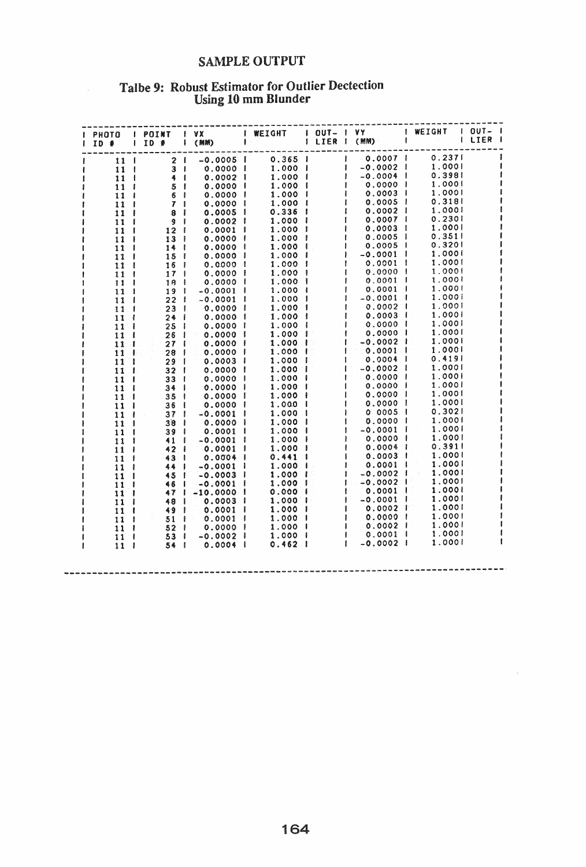### **SAMPLE OUTPUT**

# Talbe 9: Robust Estimator for Outlier Dectection<br>Using 10 mm Blunder

 $\mathcal{L}$ 

|                      |                 | ID 2   ID 3   ID 4   (MM)                                                                                                                                                                                                                  |                                                         |                      |                                                                                                                                         |        | I LIER I |
|----------------------|-----------------|--------------------------------------------------------------------------------------------------------------------------------------------------------------------------------------------------------------------------------------------|---------------------------------------------------------|----------------------|-----------------------------------------------------------------------------------------------------------------------------------------|--------|----------|
| 11 I                 |                 |                                                                                                                                                                                                                                            |                                                         |                      |                                                                                                                                         |        |          |
| 11 <sup>1</sup>      |                 |                                                                                                                                                                                                                                            |                                                         |                      |                                                                                                                                         |        |          |
| 11 <sub>1</sub>      |                 |                                                                                                                                                                                                                                            |                                                         |                      |                                                                                                                                         |        |          |
| 11 <sub>1</sub>      |                 |                                                                                                                                                                                                                                            |                                                         |                      |                                                                                                                                         |        |          |
| 11 <sub>1</sub>      |                 |                                                                                                                                                                                                                                            |                                                         |                      |                                                                                                                                         |        |          |
| 11 <sub>1</sub>      | 7 <sub>1</sub>  |                                                                                                                                                                                                                                            |                                                         |                      |                                                                                                                                         |        |          |
| 11 <sup>1</sup>      | 8 <sub>1</sub>  |                                                                                                                                                                                                                                            |                                                         |                      |                                                                                                                                         |        |          |
| 11 <sub>1</sub>      | 9 <sup>1</sup>  |                                                                                                                                                                                                                                            |                                                         |                      |                                                                                                                                         |        |          |
| 11 <sup>1</sup>      | 12 <sub>1</sub> |                                                                                                                                                                                                                                            |                                                         |                      |                                                                                                                                         |        |          |
| 11<br>- 1            | 13 <sup>1</sup> |                                                                                                                                                                                                                                            |                                                         |                      |                                                                                                                                         |        |          |
| 11                   | 14              |                                                                                                                                                                                                                                            |                                                         |                      |                                                                                                                                         |        |          |
| 11 <sub>1</sub>      | 15 <sub>1</sub> |                                                                                                                                                                                                                                            |                                                         |                      |                                                                                                                                         |        |          |
| 11 <sup>1</sup>      | $16-1$          |                                                                                                                                                                                                                                            |                                                         |                      |                                                                                                                                         |        |          |
| 11 <sup>1</sup>      | 17 <sub>1</sub> |                                                                                                                                                                                                                                            |                                                         |                      |                                                                                                                                         |        |          |
| 11 <sup>1</sup>      | 18              |                                                                                                                                                                                                                                            |                                                         |                      |                                                                                                                                         |        |          |
| 11 <sub>1</sub>      | 19 1            |                                                                                                                                                                                                                                            |                                                         |                      |                                                                                                                                         |        |          |
| 11 <sup>1</sup>      |                 | $22$ $1 - 0.0001$ 1                                                                                                                                                                                                                        | $1.000$ $\pm$                                           |                      | $-0.0001$ I                                                                                                                             | 1.0001 |          |
| 11 <sub>1</sub>      | $23 \quad 1$    | $0.0000$ 1                                                                                                                                                                                                                                 | 1.000 1                                                 |                      | $0.0002$ 1                                                                                                                              | 1.0001 |          |
| 11 <sub>1</sub>      | $24$            | 0.00001                                                                                                                                                                                                                                    | 1.0001                                                  |                      | 0.0003                                                                                                                                  | 1.0001 |          |
| 11 <sub>1</sub>      | 25 I            | 0.00001                                                                                                                                                                                                                                    | 1.000 1                                                 |                      | $0.0000$                                                                                                                                | 1.0001 |          |
| 11<br>-1             |                 | 0.00001<br>$26 \quad 1$                                                                                                                                                                                                                    | 1.000 1                                                 | $\frac{1}{\sqrt{2}}$ | $0.0000 +$                                                                                                                              | 1.0001 |          |
| 11 <sup>1</sup>      | $27 \mid$       | 0.00001                                                                                                                                                                                                                                    |                                                         |                      | $-0.0002$ 1                                                                                                                             | 1.0001 |          |
| 11 <sub>1</sub>      | 281             | $0.0000 \pm$                                                                                                                                                                                                                               | $\begin{array}{ccc} 1.000 & 1 \\ 1.000 & 1 \end{array}$ |                      | 1000011                                                                                                                                 | 1.0001 |          |
| 11 <sup>1</sup>      | 29 <sup>1</sup> | $0.0003$ $\mid$                                                                                                                                                                                                                            |                                                         |                      | $\begin{array}{cccc} 1.000 & 1 & 1 & 0.0004 & 1 \\ 1.000 & 1 & 1 & -0.0002 & 1 \\ 1.000 & 1 & 1 & 0.0000 & 1 \end{array}$               | 0.4191 |          |
| 11<br>- 1.           | 32 <sub>1</sub> | 0.00001                                                                                                                                                                                                                                    |                                                         |                      |                                                                                                                                         | 1.0001 |          |
| $\mathbf{11}$<br>- 1 | 33 <sup>1</sup> | 0.00001                                                                                                                                                                                                                                    |                                                         |                      |                                                                                                                                         | 1.0001 |          |
| 11<br>H.             | 34 <sub>1</sub> | 0.00001                                                                                                                                                                                                                                    |                                                         |                      |                                                                                                                                         | 1.0001 |          |
| 11<br>÷F.            | 35 <sub>1</sub> | 0.00001                                                                                                                                                                                                                                    |                                                         |                      |                                                                                                                                         | 1.0001 |          |
| 11                   | 36 <sub>1</sub> | 0.0000 l                                                                                                                                                                                                                                   |                                                         |                      |                                                                                                                                         | 1.0001 |          |
| 11<br>$\mathbf{I}$   | 37 <sub>1</sub> | $-0.0001$ 1                                                                                                                                                                                                                                |                                                         |                      |                                                                                                                                         | 0.3021 |          |
| 11<br>- 1            | 38 I            | 0.0000 1                                                                                                                                                                                                                                   |                                                         |                      |                                                                                                                                         | 1.0001 |          |
| 11<br>- 1            | 39 <sub>1</sub> | 0.0001 l                                                                                                                                                                                                                                   |                                                         |                      |                                                                                                                                         | 1.0001 |          |
| 11<br>- 1            | 41              | $-0.0001$ $\mid$                                                                                                                                                                                                                           |                                                         |                      |                                                                                                                                         | 1,0001 |          |
| 11<br>$\mathbf{1}$   | 42              | $0.0001$ $\pm$                                                                                                                                                                                                                             |                                                         |                      | $\begin{array}{cccc} 1.000 & 1 & 0.0000 & 1 \\ 1.000 & 1 & -0.0001 & 1 \\ 1.000 & 1 & 0.0000 & 1 \\ 1.000 & 1 & 0.0004 & 1 \end{array}$ | 0.3911 |          |
| 11<br>-              | 43              | 0.0004 l                                                                                                                                                                                                                                   | 0.4411                                                  | $\mathcal{C}$ .      | $0.0003$ $\pm$                                                                                                                          | 1.0001 |          |
| 11<br>-1             |                 | 44   -0.0001                                                                                                                                                                                                                               |                                                         |                      | $1.000$ $1 - 1 - 0.0001$ $1 - 1$                                                                                                        | 1.0001 |          |
| 11                   | 45 <sub>1</sub> | $-0.0003$ I                                                                                                                                                                                                                                | 1.000 1                                                 |                      | $1 - 0.0002$                                                                                                                            | 1.0001 |          |
| 11                   |                 |                                                                                                                                                                                                                                            |                                                         |                      |                                                                                                                                         | 1,0001 |          |
| -1                   |                 |                                                                                                                                                                                                                                            |                                                         |                      |                                                                                                                                         | 1.0001 |          |
| 11<br>11<br>н.       |                 |                                                                                                                                                                                                                                            |                                                         |                      |                                                                                                                                         | 1.0001 |          |
| 11<br>-              |                 | 45   $-0.0003$   $1.000$   $-0.0002$  <br>46   $-0.0001$   $1.000$   $-0.0002$  <br>47   $-10.00003$   $0.0003$   $-0.0001$  <br>49   $0.0001$   $1.000$   $-0.0001$  <br>51   $0.0001$   $1.000$   $-0.0002$  <br>52   $0.0000$   $1.000$ |                                                         |                      |                                                                                                                                         | 1,0001 |          |
| 11 I                 |                 |                                                                                                                                                                                                                                            |                                                         |                      |                                                                                                                                         | 1.0001 |          |
| 11<br>- 1            |                 |                                                                                                                                                                                                                                            |                                                         |                      |                                                                                                                                         | 1.0001 |          |
| $11-1$               | 53 1            |                                                                                                                                                                                                                                            |                                                         |                      |                                                                                                                                         | 1.0001 |          |
| 11 <sup>1</sup>      |                 | 54   0.0004                                                                                                                                                                                                                                | $-0.0002$   1.000  <br>0.0004   0.462                   | $\mathbf{I}$         | $-0.0002$                                                                                                                               | 1,0001 |          |